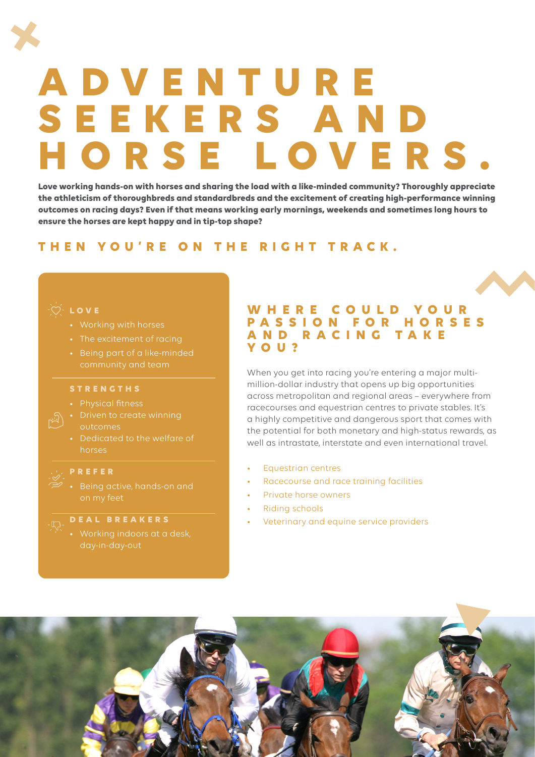# **A D V E N T U R E S E E K E R S A N D HORSE LOVERS.**

**Love working hands-on with horses and sharing the load with a like-minded community? Thoroughly appreciate the athleticism of thoroughbreds and standardbreds and the excitement of creating high-performance winning outcomes on racing days? Even if that means working early mornings, weekends and sometimes long hours to ensure the horses are kept happy and in tip-top shape?** 

# **THEN YOU'RE ON THE RIGHT TRACK.**

## **ີ** C⁄ີ L O V E

- 
- 
- Being part of a like-minded

#### **STRENGTHS**

- Physical fitness
- outcomes
- Dedicated to the welfare of horses

### **PREFER**

# **DEAL BREAKERS**

# **W H E R E C O U L D Y O U R P A S S I O N F O R H O R S E S A N D R A C I N G T A K E YOU?**

When you get into racing you're entering a major multimillion-dollar industry that opens up big opportunities across metropolitan and regional areas – everywhere from racecourses and equestrian centres to private stables. It's a highly competitive and dangerous sport that comes with the potential for both monetary and high-status rewards, as well as intrastate, interstate and even international travel.

- Equestrian centres
- Racecourse and race training facilities
- Private horse owners
- Riding schools
- Veterinary and equine service providers